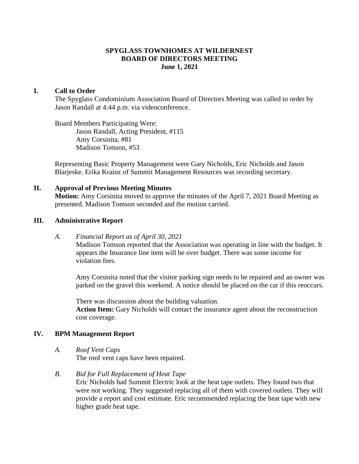# **SPYGLASS TOWNHOMES AT WILDERNEST BOARD OF DIRECTORS MEETING June 1, 2021**

## **I. Call to Order**

The Spyglass Condominium Association Board of Directors Meeting was called to order by Jason Randall at 4:44 p.m. via videoconference.

# Board Members Participating Were:

Jason Randall, Acting President, #115 Amy Corsinita, #81 Madison Tomson, #53

Representing Basic Property Management were Gary Nicholds, Eric Nicholds and Jason Blarjeske. Erika Krainz of Summit Management Resources was recording secretary.

# **II. Approval of Previous Meeting Minutes**

**Motion:** Amy Corsinita moved to approve the minutes of the April 7, 2021 Board Meeting as presented. Madison Tomson seconded and the motion carried.

## **III. Administrative Report**

*A. Financial Report as of April 30, 2021*

Madison Tomson reported that the Association was operating in line with the budget. It appears the Insurance line item will be over budget. There was some income for violation fees.

Amy Corsinita noted that the visitor parking sign needs to be repaired and an owner was parked on the gravel this weekend. A notice should be placed on the car if this reoccurs.

There was discussion about the building valuation. **Action Item:** Gary Nicholds will contact the insurance agent about the reconstruction cost coverage.

# **IV. BPM Management Report**

*A. Roof Vent Caps*

The roof vent caps have been repaired.

## *B. Bid for Full Replacement of Heat Tape*

Eric Nicholds had Summit Electric look at the heat tape outlets. They found two that were not working. They suggested replacing all of them with covered outlets. They will provide a report and cost estimate. Eric recommended replacing the heat tape with new higher grade heat tape.